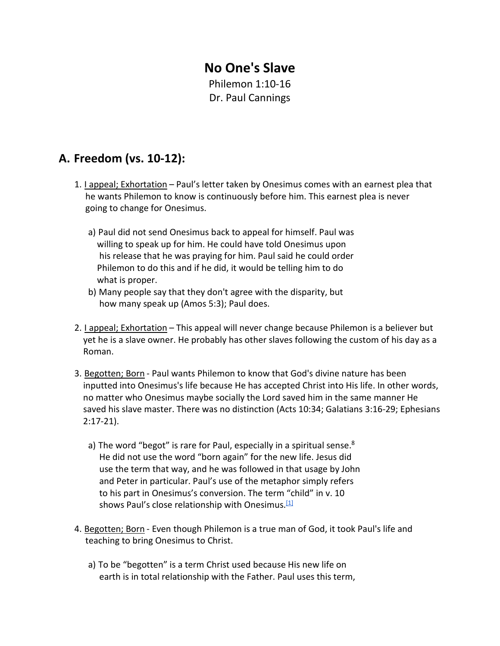### **No One's Slave**

Philemon 1:10-16 Dr. Paul Cannings

# **A. Freedom (vs. 10-12):**

- 1. I appeal; Exhortation Paul's letter taken by Onesimus comes with an earnest plea that he wants Philemon to know is continuously before him. This earnest plea is never going to change for Onesimus.
	- a) Paul did not send Onesimus back to appeal for himself. Paul was willing to speak up for him. He could have told Onesimus upon his release that he was praying for him. Paul said he could order Philemon to do this and if he did, it would be telling him to do what is proper.
	- b) Many people say that they don't agree with the disparity, but how many speak up (Amos 5:3); Paul does.
- 2. I appeal; Exhortation This appeal will never change because Philemon is a believer but yet he is a slave owner. He probably has other slaves following the custom of his day as a Roman.
- 3. Begotten; Born Paul wants Philemon to know that God's divine nature has been inputted into Onesimus's life because He has accepted Christ into His life. In other words, no matter who Onesimus maybe socially the Lord saved him in the same manner He saved his slave master. There was no distinction (Acts 10:34; Galatians 3:16-29; Ephesians 2:17-21).
	- a) The word "begot" is rare for Paul, especially in a spiritual sense. $8$  He did not use the word "born again" for the new life. Jesus did use the term that way, and he was followed in that usage by John and Peter in particular. Paul's use of the metaphor simply refers to his part in Onesimus's conversion. The term "child" in v. 10 shows Paul's close relationship with Onesimus.<sup>[1]</sup>
- 4. Begotten; Born Even though Philemon is a true man of God, it took Paul's life and teaching to bring Onesimus to Christ.
	- a) To be "begotten" is a term Christ used because His new life on earth is in total relationship with the Father. Paul uses this term,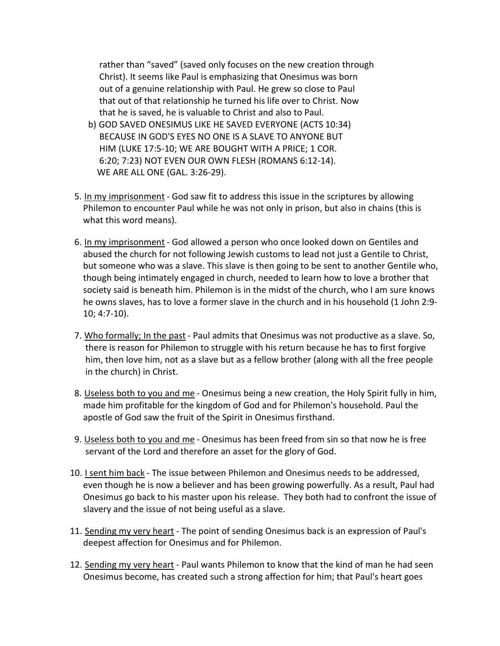rather than "saved" (saved only focuses on the new creation through Christ). It seems like Paul is emphasizing that Onesimus was born out of a genuine relationship with Paul. He grew so close to Paul that out of that relationship he turned his life over to Christ. Now that he is saved, he is valuable to Christ and also to Paul.

- b) GOD SAVED ONESIMUS LIKE HE SAVED EVERYONE (ACTS 10:34) BECAUSE IN GOD'S EYES NO ONE IS A SLAVE TO ANYONE BUT HIM (LUKE 17:5-10; WE ARE BOUGHT WITH A PRICE; 1 COR. 6:20; 7:23) NOT EVEN OUR OWN FLESH (ROMANS 6:12-14). WE ARE ALL ONE (GAL. 3:26-29).
- 5. In my imprisonment God saw fit to address this issue in the scriptures by allowing Philemon to encounter Paul while he was not only in prison, but also in chains (this is what this word means).
- 6. In my imprisonment God allowed a person who once looked down on Gentiles and abused the church for not following Jewish customs to lead not just a Gentile to Christ, but someone who was a slave. This slave is then going to be sent to another Gentile who, though being intimately engaged in church, needed to learn how to love a brother that society said is beneath him. Philemon is in the midst of the church, who I am sure knows he owns slaves, has to love a former slave in the church and in his household (1 John 2:9- 10; 4:7-10).
- 7. Who formally; In the past Paul admits that Onesimus was not productive as a slave. So, there is reason for Philemon to struggle with his return because he has to first forgive him, then love him, not as a slave but as a fellow brother (along with all the free people in the church) in Christ.
- 8. Useless both to you and me Onesimus being a new creation, the Holy Spirit fully in him, made him profitable for the kingdom of God and for Philemon's household. Paul the apostle of God saw the fruit of the Spirit in Onesimus firsthand.
- 9. Useless both to you and me Onesimus has been freed from sin so that now he is free servant of the Lord and therefore an asset for the glory of God.
- 10. I sent him back The issue between Philemon and Onesimus needs to be addressed, even though he is now a believer and has been growing powerfully. As a result, Paul had Onesimus go back to his master upon his release. They both had to confront the issue of slavery and the issue of not being useful as a slave.
- 11. Sending my very heart The point of sending Onesimus back is an expression of Paul's deepest affection for Onesimus and for Philemon.
- 12. Sending my very heart Paul wants Philemon to know that the kind of man he had seen Onesimus become, has created such a strong affection for him; that Paul's heart goes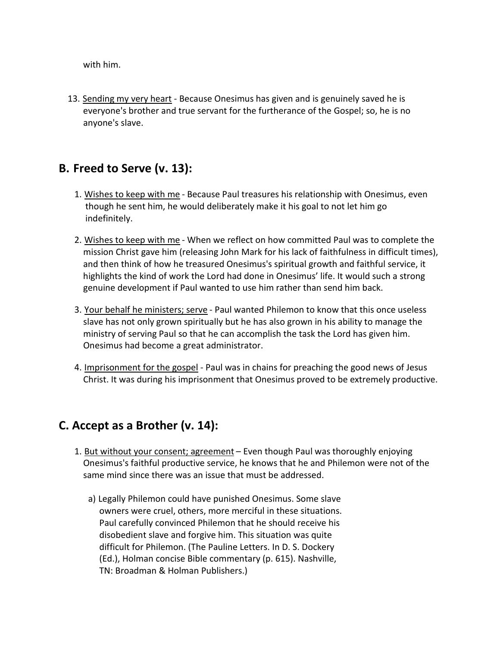with him.

 13. Sending my very heart - Because Onesimus has given and is genuinely saved he is everyone's brother and true servant for the furtherance of the Gospel; so, he is no anyone's slave.

### **B. Freed to Serve (v. 13):**

- 1. Wishes to keep with me Because Paul treasures his relationship with Onesimus, even though he sent him, he would deliberately make it his goal to not let him go indefinitely.
- 2. Wishes to keep with me When we reflect on how committed Paul was to complete the mission Christ gave him (releasing John Mark for his lack of faithfulness in difficult times), and then think of how he treasured Onesimus's spiritual growth and faithful service, it highlights the kind of work the Lord had done in Onesimus' life. It would such a strong genuine development if Paul wanted to use him rather than send him back.
- 3. Your behalf he ministers; serve Paul wanted Philemon to know that this once useless slave has not only grown spiritually but he has also grown in his ability to manage the ministry of serving Paul so that he can accomplish the task the Lord has given him. Onesimus had become a great administrator.
- 4. Imprisonment for the gospel Paul was in chains for preaching the good news of Jesus Christ. It was during his imprisonment that Onesimus proved to be extremely productive.

## **C. Accept as a Brother (v. 14):**

- 1. But without your consent; agreement Even though Paul was thoroughly enjoying Onesimus's faithful productive service, he knows that he and Philemon were not of the same mind since there was an issue that must be addressed.
	- a) Legally Philemon could have punished Onesimus. Some slave owners were cruel, others, more merciful in these situations. Paul carefully convinced Philemon that he should receive his disobedient slave and forgive him. This situation was quite difficult for Philemon. (The Pauline Letters. In D. S. Dockery (Ed.), Holman concise Bible commentary (p. 615). Nashville, TN: Broadman & Holman Publishers.)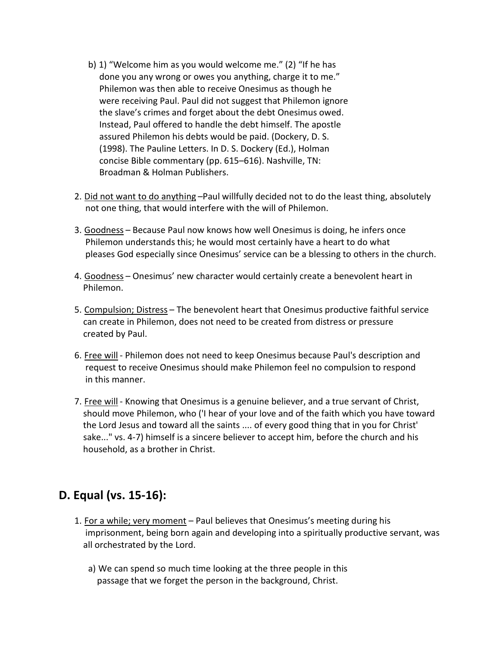- b) 1) "Welcome him as you would welcome me." (2) "If he has done you any wrong or owes you anything, charge it to me." Philemon was then able to receive Onesimus as though he were receiving Paul. Paul did not suggest that Philemon ignore the slave's crimes and forget about the debt Onesimus owed. Instead, Paul offered to handle the debt himself. The apostle assured Philemon his debts would be paid. (Dockery, D. S. (1998). The Pauline Letters. In D. S. Dockery (Ed.), Holman concise Bible commentary (pp. 615–616). Nashville, TN: Broadman & Holman Publishers.
- 2. Did not want to do anything –Paul willfully decided not to do the least thing, absolutely not one thing, that would interfere with the will of Philemon.
- 3. Goodness Because Paul now knows how well Onesimus is doing, he infers once Philemon understands this; he would most certainly have a heart to do what pleases God especially since Onesimus' service can be a blessing to others in the church.
- 4. Goodness Onesimus' new character would certainly create a benevolent heart in Philemon.
- 5. Compulsion; Distress The benevolent heart that Onesimus productive faithful service can create in Philemon, does not need to be created from distress or pressure created by Paul.
- 6. Free will Philemon does not need to keep Onesimus because Paul's description and request to receive Onesimus should make Philemon feel no compulsion to respond in this manner.
- 7. Free will Knowing that Onesimus is a genuine believer, and a true servant of Christ, should move Philemon, who ('I hear of your love and of the faith which you have toward the Lord Jesus and toward all the saints .... of every good thing that in you for Christ' sake..." vs. 4-7) himself is a sincere believer to accept him, before the church and his household, as a brother in Christ.

#### **D. Equal (vs. 15-16):**

- 1. For a while; very moment Paul believes that Onesimus's meeting during his imprisonment, being born again and developing into a spiritually productive servant, was all orchestrated by the Lord.
	- a) We can spend so much time looking at the three people in this passage that we forget the person in the background, Christ.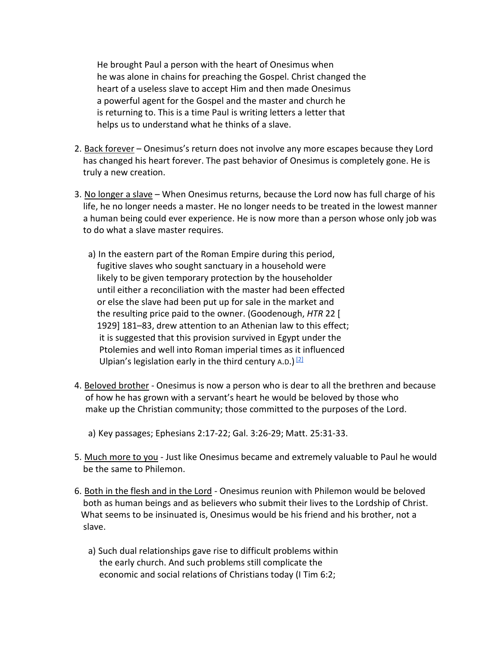He brought Paul a person with the heart of Onesimus when he was alone in chains for preaching the Gospel. Christ changed the heart of a useless slave to accept Him and then made Onesimus a powerful agent for the Gospel and the master and church he is returning to. This is a time Paul is writing letters a letter that helps us to understand what he thinks of a slave.

- 2. Back forever Onesimus's return does not involve any more escapes because they Lord has changed his heart forever. The past behavior of Onesimus is completely gone. He is truly a new creation.
- 3. No longer a slave When Onesimus returns, because the Lord now has full charge of his life, he no longer needs a master. He no longer needs to be treated in the lowest manner a human being could ever experience. He is now more than a person whose only job was to do what a slave master requires.
	- a) In the eastern part of the Roman Empire during this period, fugitive slaves who sought sanctuary in a household were likely to be given temporary protection by the householder until either a reconciliation with the master had been effected or else the slave had been put up for sale in the market and the resulting price paid to the owner. (Goodenough, *HTR* 22 [ 1929] 181–83, drew attention to an Athenian law to this effect; it is suggested that this provision survived in Egypt under the Ptolemies and well into Roman imperial times as it influenced Ulpian's legislation early in the third century A.D.)  $[2]$
- 4. Beloved brother Onesimus is now a person who is dear to all the brethren and because of how he has grown with a servant's heart he would be beloved by those who make up the Christian community; those committed to the purposes of the Lord.

a) Key passages; Ephesians 2:17-22; Gal. 3:26-29; Matt. 25:31-33.

- 5. Much more to you Just like Onesimus became and extremely valuable to Paul he would be the same to Philemon.
- 6. Both in the flesh and in the Lord Onesimus reunion with Philemon would be beloved both as human beings and as believers who submit their lives to the Lordship of Christ. What seems to be insinuated is, Onesimus would be his friend and his brother, not a slave.
	- a) Such dual relationships gave rise to difficult problems within the early church. And such problems still complicate the economic and social relations of Christians today (I Tim 6:2;